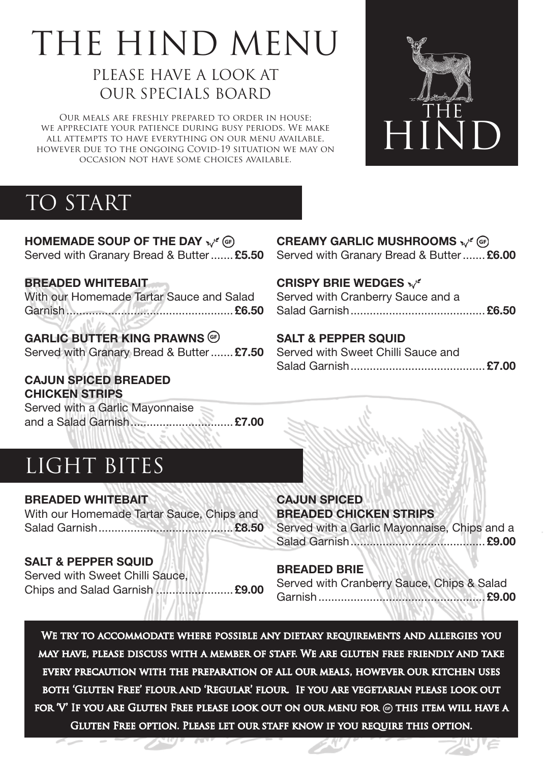# THE HIND MENU

# PLEASE HAVE A LOOK AT OUR SPECIALS BOARD

OUR MEALS ARE FRESHLY PREPARED TO ORDER IN HOUSE;<br>APPRECIATE YOUR PATIENCE DURING BUSY PERIODS. WE MAKE<br>LATTEMPTS TO HAVE EVERYTHING ON OUR MENU AVAILABLE,<br>EVER DUE TO THE ONGOING COVID-19 SITUATION WE MAY ON we appreciate your patience during busy periods. We make all attempts to have everything on our menu available, however due to the ongoing Covid-19 situation we may on occasion not have some choices available.



# TO START

**HOMEMADE SOUP OF THE DAY**  $\mathbf{v}^{\prime}$  **(G)** Served with Granary Bread & Butter....... **£5.50**

**Breaded Whitebait**

With our Homemade Tartar Sauce and Salad Garnish.................................................... **£6.50**

## **Garlic Butter King Prawns**

Served with Granary Bread & Butter....... **£7.50**

**Cajun Spiced Breaded Chicken Strips**

Served with a Garlic Mayonnaise and a Salad Garnish................................ **£7.00**

# LIGHT BITES

**Breaded Whitebait** With our Homemade Tartar Sauce, Chips and Salad Garnish.......................................... **£8.50**

#### **Salt & Pepper Squid**

Served with Sweet Chilli Sauce, Chips and Salad Garnish ........................ **£9.00**

#### **CREAMY GARLIC MUSHROOMS**  $\mathbf{x}^{\prime\ell}$  (G) Served with Granary Bread & Butter....... **£6.00**

**CRISPY BRIE WEDGES**

Served with Cranberry Sauce and a Salad Garnish.......................................... **£6.50**

#### **Salt & Pepper Squid**

Served with Sweet Chilli Sauce and Salad Garnish.......................................... **£7.00**

**Breaded Chicken Strips**

Served with a Garlic Mayonnaise, Chips and a Salad Garnish.......................................... **£9.00**

#### **Breaded Brie**

**Cajun Spiced** 

Served with Cranberry Sauce, Chips & Salad Garnish.................................................... **£9.00**

We try to accommodate where possible any dietary requirements and allergies you may have, please discuss with a member of staff. We are gluten free friendly and take every precaution with the preparation of all our meals, however our kitchen uses both 'Gluten Free' flour and 'Regular' flour. If you are vegetarian please look out for  $V'$  If you are Gluten Free please look out on our menu for  $\circledast$  this item will have a GLUTEN FREE OPTION. PLEASE LET OUR STAFF KNOW IF YOU REQUIRE THIS OPTION.